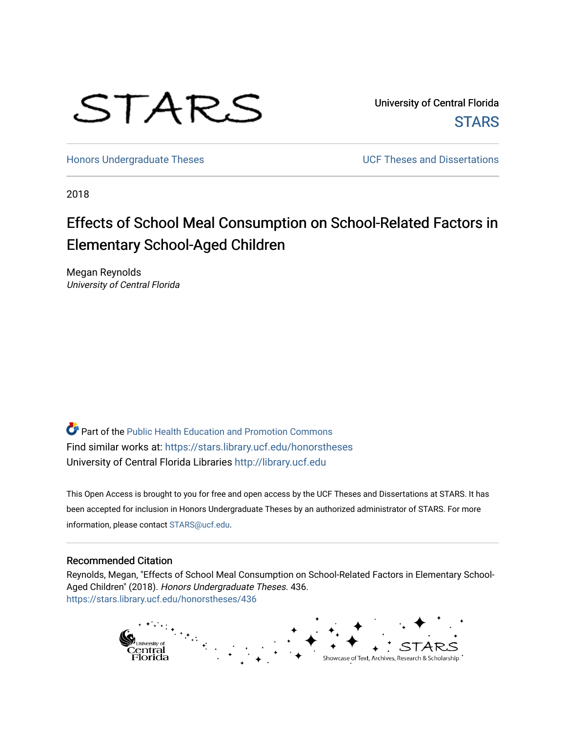

University of Central Florida **STARS** 

[Honors Undergraduate Theses](https://stars.library.ucf.edu/honorstheses) **Exercise 2018** UCF Theses and Dissertations

2018

# Effects of School Meal Consumption on School-Related Factors in Elementary School-Aged Children

Megan Reynolds University of Central Florida

**P** Part of the Public Health Education and Promotion Commons Find similar works at: <https://stars.library.ucf.edu/honorstheses> University of Central Florida Libraries [http://library.ucf.edu](http://library.ucf.edu/) 

This Open Access is brought to you for free and open access by the UCF Theses and Dissertations at STARS. It has been accepted for inclusion in Honors Undergraduate Theses by an authorized administrator of STARS. For more information, please contact [STARS@ucf.edu.](mailto:STARS@ucf.edu)

### Recommended Citation

Reynolds, Megan, "Effects of School Meal Consumption on School-Related Factors in Elementary School-Aged Children" (2018). Honors Undergraduate Theses. 436. [https://stars.library.ucf.edu/honorstheses/436](https://stars.library.ucf.edu/honorstheses/436?utm_source=stars.library.ucf.edu%2Fhonorstheses%2F436&utm_medium=PDF&utm_campaign=PDFCoverPages) 

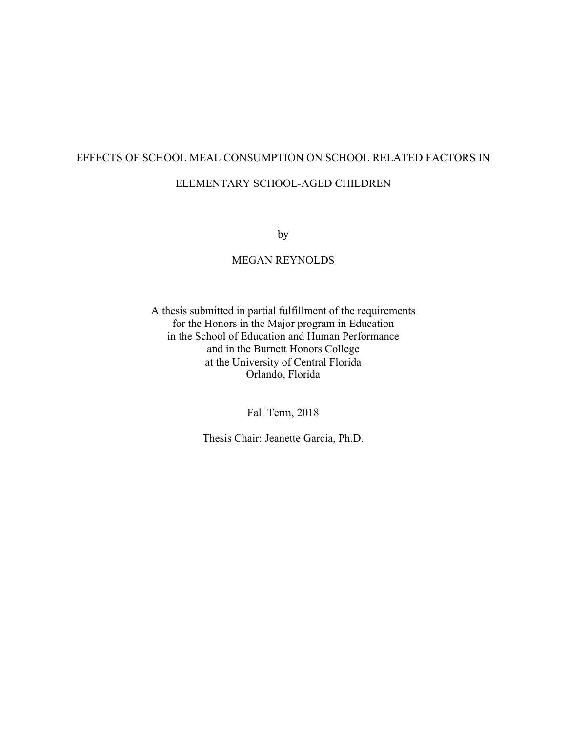# EFFECTS OF SCHOOL MEAL CONSUMPTION ON SCHOOL RELATED FACTORS IN ELEMENTARY SCHOOL-AGED CHILDREN

by

# MEGAN REYNOLDS

A thesis submitted in partial fulfillment of the requirements for the Honors in the Major program in Education in the School of Education and Human Performance and in the Burnett Honors College at the University of Central Florida Orlando, Florida

Fall Term, 2018

Thesis Chair: Jeanette Garcia, Ph.D.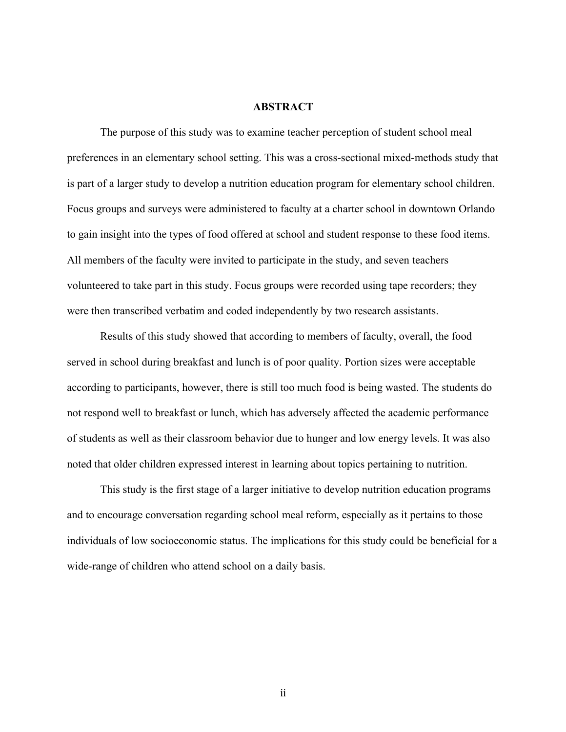# **ABSTRACT**

The purpose of this study was to examine teacher perception of student school meal preferences in an elementary school setting. This was a cross-sectional mixed-methods study that is part of a larger study to develop a nutrition education program for elementary school children. Focus groups and surveys were administered to faculty at a charter school in downtown Orlando to gain insight into the types of food offered at school and student response to these food items. All members of the faculty were invited to participate in the study, and seven teachers volunteered to take part in this study. Focus groups were recorded using tape recorders; they were then transcribed verbatim and coded independently by two research assistants.

Results of this study showed that according to members of faculty, overall, the food served in school during breakfast and lunch is of poor quality. Portion sizes were acceptable according to participants, however, there is still too much food is being wasted. The students do not respond well to breakfast or lunch, which has adversely affected the academic performance of students as well as their classroom behavior due to hunger and low energy levels. It was also noted that older children expressed interest in learning about topics pertaining to nutrition.

This study is the first stage of a larger initiative to develop nutrition education programs and to encourage conversation regarding school meal reform, especially as it pertains to those individuals of low socioeconomic status. The implications for this study could be beneficial for a wide-range of children who attend school on a daily basis.

ii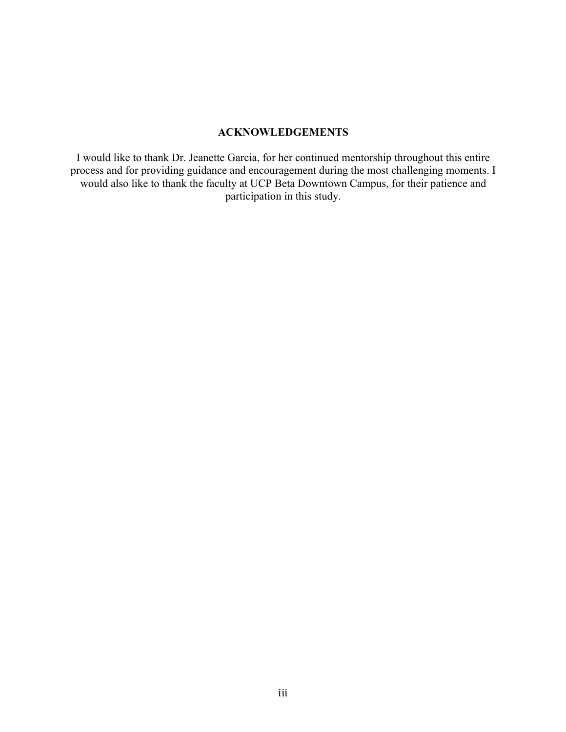# **ACKNOWLEDGEMENTS**

I would like to thank Dr. Jeanette Garcia, for her continued mentorship throughout this entire process and for providing guidance and encouragement during the most challenging moments. I would also like to thank the faculty at UCP Beta Downtown Campus, for their patience and participation in this study.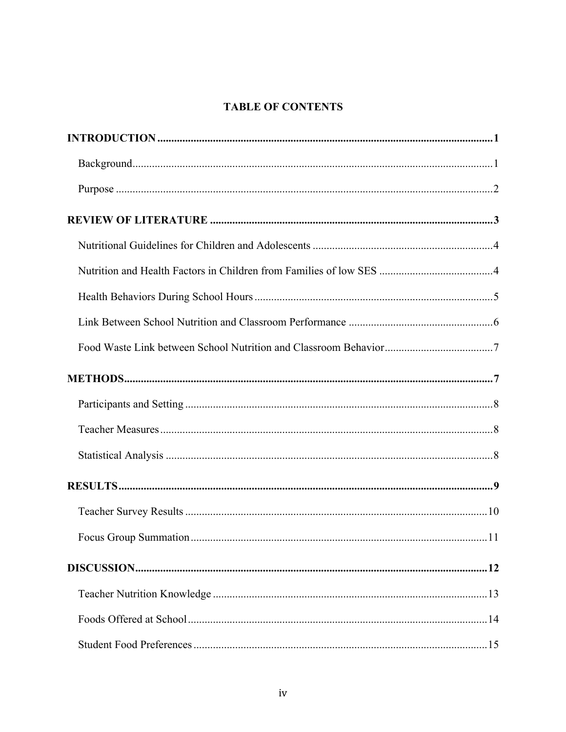# **TABLE OF CONTENTS**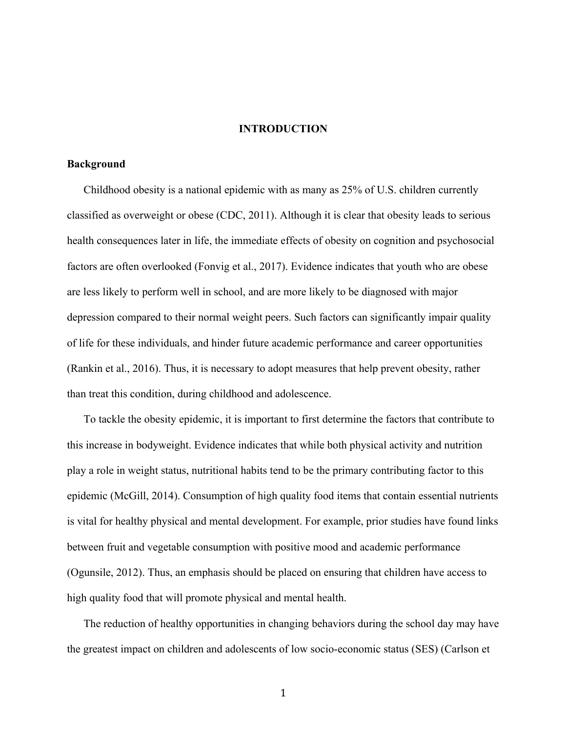#### **INTRODUCTION**

#### **Background**

Childhood obesity is a national epidemic with as many as 25% of U.S. children currently classified as overweight or obese (CDC, 2011). Although it is clear that obesity leads to serious health consequences later in life, the immediate effects of obesity on cognition and psychosocial factors are often overlooked (Fonvig et al., 2017). Evidence indicates that youth who are obese are less likely to perform well in school, and are more likely to be diagnosed with major depression compared to their normal weight peers. Such factors can significantly impair quality of life for these individuals, and hinder future academic performance and career opportunities (Rankin et al., 2016). Thus, it is necessary to adopt measures that help prevent obesity, rather than treat this condition, during childhood and adolescence.

To tackle the obesity epidemic, it is important to first determine the factors that contribute to this increase in bodyweight. Evidence indicates that while both physical activity and nutrition play a role in weight status, nutritional habits tend to be the primary contributing factor to this epidemic (McGill, 2014). Consumption of high quality food items that contain essential nutrients is vital for healthy physical and mental development. For example, prior studies have found links between fruit and vegetable consumption with positive mood and academic performance (Ogunsile, 2012). Thus, an emphasis should be placed on ensuring that children have access to high quality food that will promote physical and mental health.

The reduction of healthy opportunities in changing behaviors during the school day may have the greatest impact on children and adolescents of low socio-economic status (SES) (Carlson et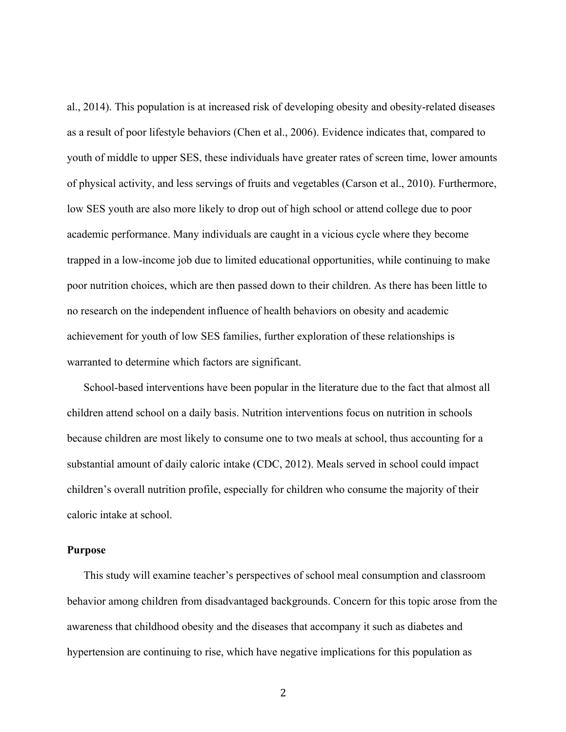al., 2014). This population is at increased risk of developing obesity and obesity-related diseases as a result of poor lifestyle behaviors (Chen et al., 2006). Evidence indicates that, compared to youth of middle to upper SES, these individuals have greater rates of screen time, lower amounts of physical activity, and less servings of fruits and vegetables (Carson et al., 2010). Furthermore, low SES youth are also more likely to drop out of high school or attend college due to poor academic performance. Many individuals are caught in a vicious cycle where they become trapped in a low-income job due to limited educational opportunities, while continuing to make poor nutrition choices, which are then passed down to their children. As there has been little to no research on the independent influence of health behaviors on obesity and academic achievement for youth of low SES families, further exploration of these relationships is warranted to determine which factors are significant.

School-based interventions have been popular in the literature due to the fact that almost all children attend school on a daily basis. Nutrition interventions focus on nutrition in schools because children are most likely to consume one to two meals at school, thus accounting for a substantial amount of daily caloric intake (CDC, 2012). Meals served in school could impact children's overall nutrition profile, especially for children who consume the majority of their caloric intake at school.

#### **Purpose**

This study will examine teacher's perspectives of school meal consumption and classroom behavior among children from disadvantaged backgrounds. Concern for this topic arose from the awareness that childhood obesity and the diseases that accompany it such as diabetes and hypertension are continuing to rise, which have negative implications for this population as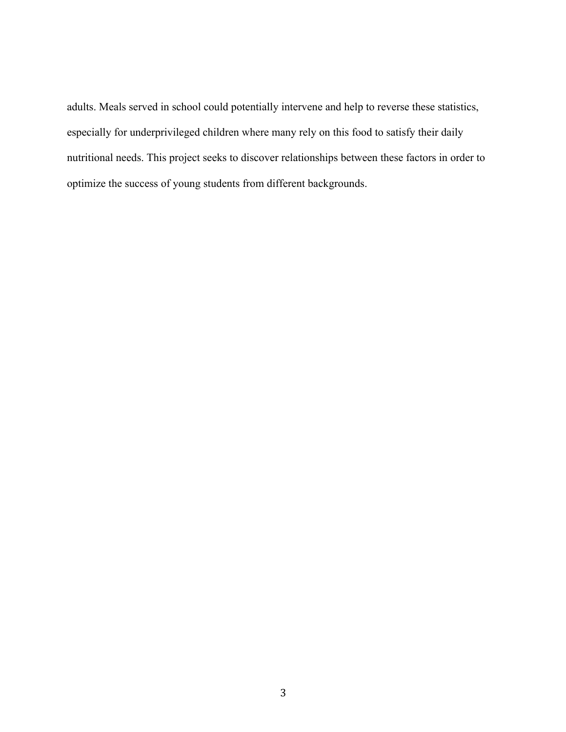adults. Meals served in school could potentially intervene and help to reverse these statistics, especially for underprivileged children where many rely on this food to satisfy their daily nutritional needs. This project seeks to discover relationships between these factors in order to optimize the success of young students from different backgrounds.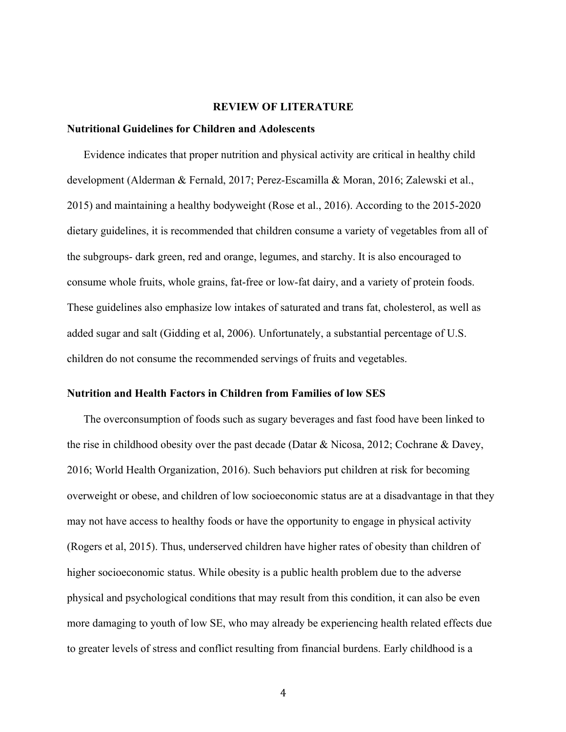#### **REVIEW OF LITERATURE**

#### **Nutritional Guidelines for Children and Adolescents**

Evidence indicates that proper nutrition and physical activity are critical in healthy child development (Alderman & Fernald, 2017; Perez-Escamilla & Moran, 2016; Zalewski et al., 2015) and maintaining a healthy bodyweight (Rose et al., 2016). According to the 2015-2020 dietary guidelines, it is recommended that children consume a variety of vegetables from all of the subgroups- dark green, red and orange, legumes, and starchy. It is also encouraged to consume whole fruits, whole grains, fat-free or low-fat dairy, and a variety of protein foods. These guidelines also emphasize low intakes of saturated and trans fat, cholesterol, as well as added sugar and salt (Gidding et al, 2006). Unfortunately, a substantial percentage of U.S. children do not consume the recommended servings of fruits and vegetables.

#### **Nutrition and Health Factors in Children from Families of low SES**

The overconsumption of foods such as sugary beverages and fast food have been linked to the rise in childhood obesity over the past decade (Datar & Nicosa, 2012; Cochrane & Davey, 2016; World Health Organization, 2016). Such behaviors put children at risk for becoming overweight or obese, and children of low socioeconomic status are at a disadvantage in that they may not have access to healthy foods or have the opportunity to engage in physical activity (Rogers et al, 2015). Thus, underserved children have higher rates of obesity than children of higher socioeconomic status. While obesity is a public health problem due to the adverse physical and psychological conditions that may result from this condition, it can also be even more damaging to youth of low SE, who may already be experiencing health related effects due to greater levels of stress and conflict resulting from financial burdens. Early childhood is a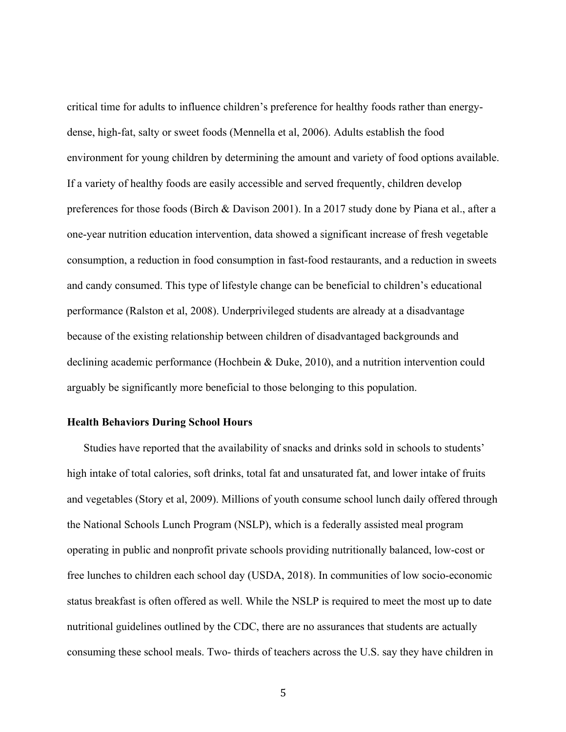critical time for adults to influence children's preference for healthy foods rather than energydense, high-fat, salty or sweet foods (Mennella et al, 2006). Adults establish the food environment for young children by determining the amount and variety of food options available. If a variety of healthy foods are easily accessible and served frequently, children develop preferences for those foods (Birch & Davison 2001). In a 2017 study done by Piana et al., after a one-year nutrition education intervention, data showed a significant increase of fresh vegetable consumption, a reduction in food consumption in fast-food restaurants, and a reduction in sweets and candy consumed. This type of lifestyle change can be beneficial to children's educational performance (Ralston et al, 2008). Underprivileged students are already at a disadvantage because of the existing relationship between children of disadvantaged backgrounds and declining academic performance (Hochbein & Duke, 2010), and a nutrition intervention could arguably be significantly more beneficial to those belonging to this population.

#### **Health Behaviors During School Hours**

Studies have reported that the availability of snacks and drinks sold in schools to students' high intake of total calories, soft drinks, total fat and unsaturated fat, and lower intake of fruits and vegetables (Story et al, 2009). Millions of youth consume school lunch daily offered through the National Schools Lunch Program (NSLP), which is a federally assisted meal program operating in public and nonprofit private schools providing nutritionally balanced, low-cost or free lunches to children each school day (USDA, 2018). In communities of low socio-economic status breakfast is often offered as well. While the NSLP is required to meet the most up to date nutritional guidelines outlined by the CDC, there are no assurances that students are actually consuming these school meals. Two- thirds of teachers across the U.S. say they have children in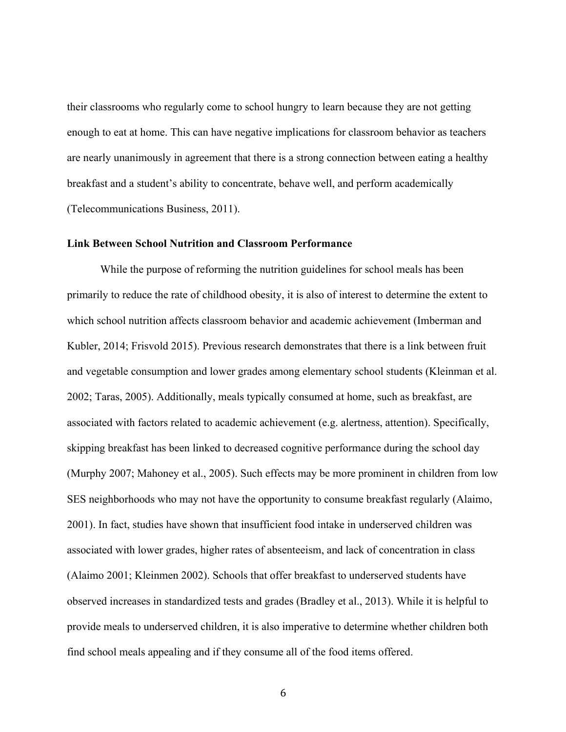their classrooms who regularly come to school hungry to learn because they are not getting enough to eat at home. This can have negative implications for classroom behavior as teachers are nearly unanimously in agreement that there is a strong connection between eating a healthy breakfast and a student's ability to concentrate, behave well, and perform academically (Telecommunications Business, 2011).

# **Link Between School Nutrition and Classroom Performance**

While the purpose of reforming the nutrition guidelines for school meals has been primarily to reduce the rate of childhood obesity, it is also of interest to determine the extent to which school nutrition affects classroom behavior and academic achievement (Imberman and Kubler, 2014; Frisvold 2015). Previous research demonstrates that there is a link between fruit and vegetable consumption and lower grades among elementary school students (Kleinman et al. 2002; Taras, 2005). Additionally, meals typically consumed at home, such as breakfast, are associated with factors related to academic achievement (e.g. alertness, attention). Specifically, skipping breakfast has been linked to decreased cognitive performance during the school day (Murphy 2007; Mahoney et al., 2005). Such effects may be more prominent in children from low SES neighborhoods who may not have the opportunity to consume breakfast regularly (Alaimo, 2001). In fact, studies have shown that insufficient food intake in underserved children was associated with lower grades, higher rates of absenteeism, and lack of concentration in class (Alaimo 2001; Kleinmen 2002). Schools that offer breakfast to underserved students have observed increases in standardized tests and grades (Bradley et al., 2013). While it is helpful to provide meals to underserved children, it is also imperative to determine whether children both find school meals appealing and if they consume all of the food items offered.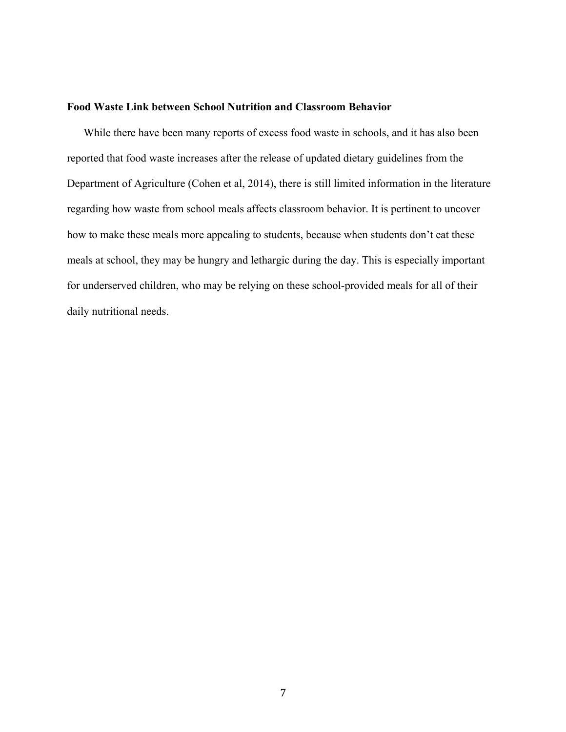#### **Food Waste Link between School Nutrition and Classroom Behavior**

While there have been many reports of excess food waste in schools, and it has also been reported that food waste increases after the release of updated dietary guidelines from the Department of Agriculture (Cohen et al, 2014), there is still limited information in the literature regarding how waste from school meals affects classroom behavior. It is pertinent to uncover how to make these meals more appealing to students, because when students don't eat these meals at school, they may be hungry and lethargic during the day. This is especially important for underserved children, who may be relying on these school-provided meals for all of their daily nutritional needs.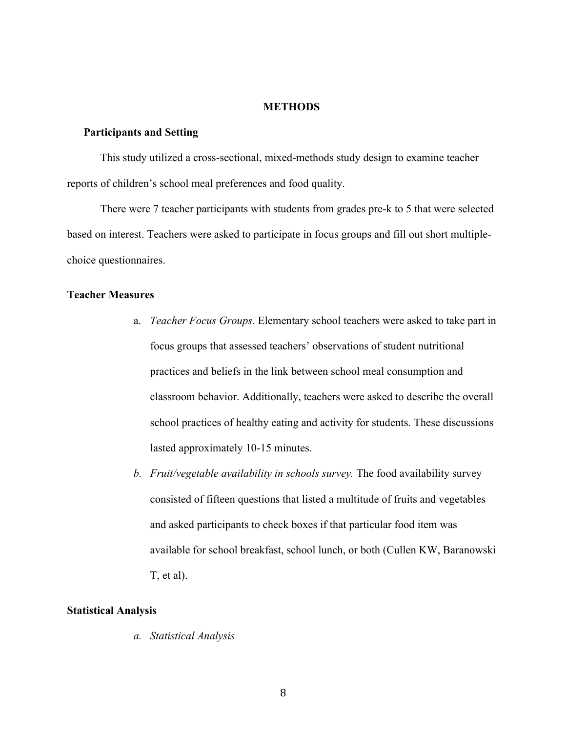#### **METHODS**

#### **Participants and Setting**

This study utilized a cross-sectional, mixed-methods study design to examine teacher reports of children's school meal preferences and food quality.

There were 7 teacher participants with students from grades pre-k to 5 that were selected based on interest. Teachers were asked to participate in focus groups and fill out short multiplechoice questionnaires.

#### **Teacher Measures**

- a. *Teacher Focus Groups.* Elementary school teachers were asked to take part in focus groups that assessed teachers' observations of student nutritional practices and beliefs in the link between school meal consumption and classroom behavior. Additionally, teachers were asked to describe the overall school practices of healthy eating and activity for students. These discussions lasted approximately 10-15 minutes.
- *b. Fruit/vegetable availability in schools survey.* The food availability survey consisted of fifteen questions that listed a multitude of fruits and vegetables and asked participants to check boxes if that particular food item was available for school breakfast, school lunch, or both (Cullen KW, Baranowski T, et al).

#### **Statistical Analysis**

*a. Statistical Analysis*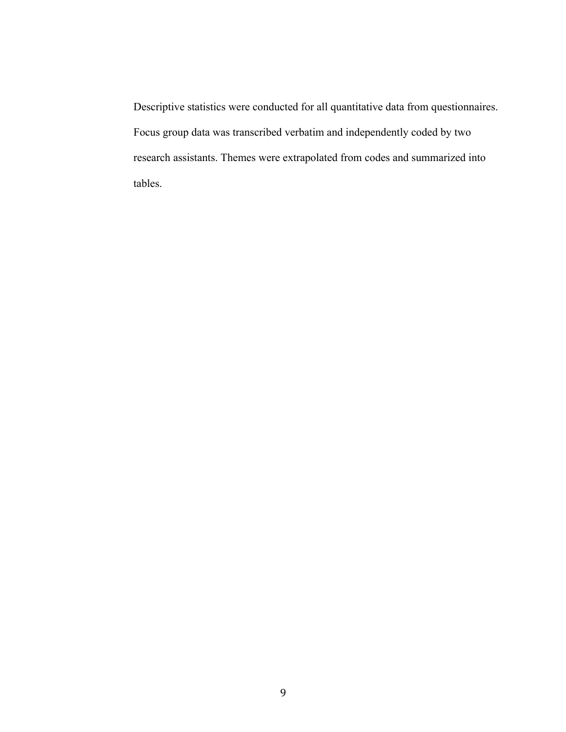Descriptive statistics were conducted for all quantitative data from questionnaires. Focus group data was transcribed verbatim and independently coded by two research assistants. Themes were extrapolated from codes and summarized into tables.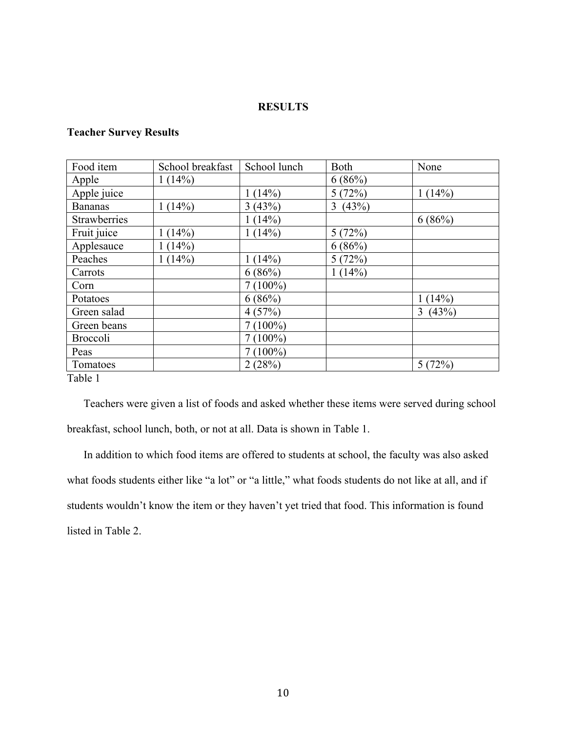# **RESULTS**

# **Teacher Survey Results**

| 1(14%)    |            | 6(86%)     |            |
|-----------|------------|------------|------------|
|           |            |            |            |
|           | 1(14%)     | 5(72%)     | 1(14%)     |
| 1(14%)    | 3(43%)     | (43%)<br>3 |            |
|           | 1(14%)     |            | 6(86%)     |
| $1(14\%)$ | 1(14%)     | 5(72%)     |            |
| 1(14%)    |            | 6(86%)     |            |
| 1(14%)    | 1(14%)     | 5(72%)     |            |
|           | 6(86%)     | 1(14%)     |            |
|           | $7(100\%)$ |            |            |
|           | 6(86%)     |            | 1(14%)     |
|           | 4(57%)     |            | 3<br>(43%) |
|           | $7(100\%)$ |            |            |
|           | $7(100\%)$ |            |            |
|           | $7(100\%)$ |            |            |
|           | 2(28%)     |            | 5(72%)     |
|           |            |            |            |

Table 1

Teachers were given a list of foods and asked whether these items were served during school breakfast, school lunch, both, or not at all. Data is shown in Table 1.

In addition to which food items are offered to students at school, the faculty was also asked what foods students either like "a lot" or "a little," what foods students do not like at all, and if students wouldn't know the item or they haven't yet tried that food. This information is found listed in Table 2.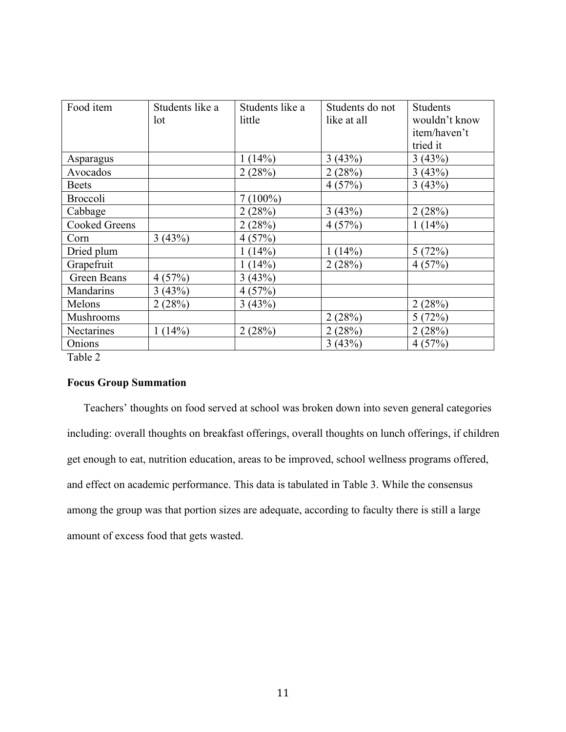| Food item            | Students like a | Students like a | Students do not | <b>Students</b> |
|----------------------|-----------------|-----------------|-----------------|-----------------|
|                      | lot             | little          | like at all     | wouldn't know   |
|                      |                 |                 |                 | item/haven't    |
|                      |                 |                 |                 | tried it        |
| Asparagus            |                 | 1(14%)          | 3(43%)          | 3(43%)          |
| Avocados             |                 | 2(28%)          | 2(28%)          | 3(43%)          |
| <b>Beets</b>         |                 |                 | 4(57%)          | 3(43%)          |
| <b>Broccoli</b>      |                 | $7(100\%)$      |                 |                 |
| Cabbage              |                 | 2(28%)          | 3(43%)          | 2(28%)          |
| <b>Cooked Greens</b> |                 | 2(28%)          | 4(57%)          | 1(14%)          |
| Corn                 | 3(43%)          | 4(57%)          |                 |                 |
| Dried plum           |                 | 1(14%)          | 1(14%)          | 5(72%)          |
| Grapefruit           |                 | 1(14%)          | 2(28%)          | 4(57%)          |
| Green Beans          | 4(57%)          | 3(43%)          |                 |                 |
| Mandarins            | 3(43%)          | 4(57%)          |                 |                 |
| Melons               | 2(28%)          | 3(43%)          |                 | 2(28%)          |
| <b>Mushrooms</b>     |                 |                 | 2(28%)          | 5(72%)          |
| Nectarines           | 1(14%)          | 2(28%)          | 2(28%)          | 2(28%)          |
| Onions               |                 |                 | 3(43%)          | 4(57%)          |

Table 2

# **Focus Group Summation**

Teachers' thoughts on food served at school was broken down into seven general categories including: overall thoughts on breakfast offerings, overall thoughts on lunch offerings, if children get enough to eat, nutrition education, areas to be improved, school wellness programs offered, and effect on academic performance. This data is tabulated in Table 3. While the consensus among the group was that portion sizes are adequate, according to faculty there is still a large amount of excess food that gets wasted.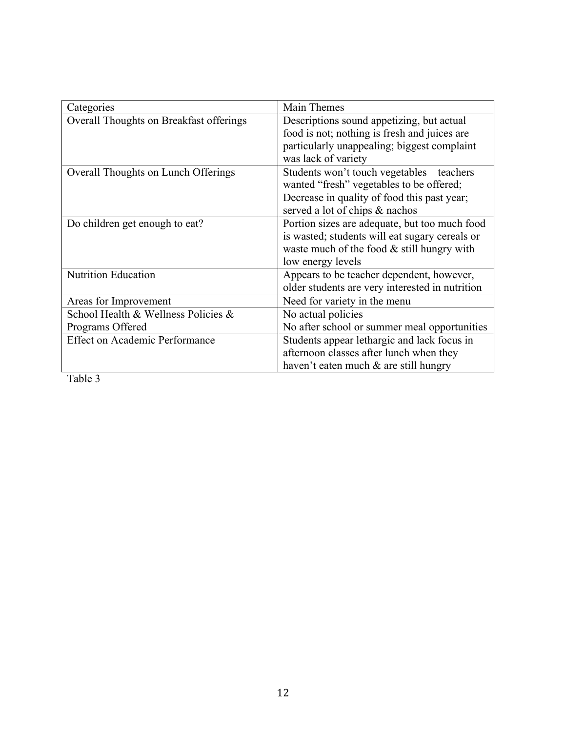| Categories                              | Main Themes                                     |
|-----------------------------------------|-------------------------------------------------|
| Overall Thoughts on Breakfast offerings | Descriptions sound appetizing, but actual       |
|                                         | food is not; nothing is fresh and juices are    |
|                                         | particularly unappealing; biggest complaint     |
|                                         | was lack of variety                             |
| Overall Thoughts on Lunch Offerings     | Students won't touch vegetables - teachers      |
|                                         | wanted "fresh" vegetables to be offered;        |
|                                         | Decrease in quality of food this past year;     |
|                                         | served a lot of chips & nachos                  |
| Do children get enough to eat?          | Portion sizes are adequate, but too much food   |
|                                         | is wasted; students will eat sugary cereals or  |
|                                         | waste much of the food $&$ still hungry with    |
|                                         | low energy levels                               |
| <b>Nutrition Education</b>              | Appears to be teacher dependent, however,       |
|                                         | older students are very interested in nutrition |
| Areas for Improvement                   | Need for variety in the menu                    |
| School Health & Wellness Policies &     | No actual policies                              |
| Programs Offered                        | No after school or summer meal opportunities    |
| <b>Effect on Academic Performance</b>   | Students appear lethargic and lack focus in     |
|                                         | afternoon classes after lunch when they         |
|                                         | haven't eaten much $\&$ are still hungry        |

Table 3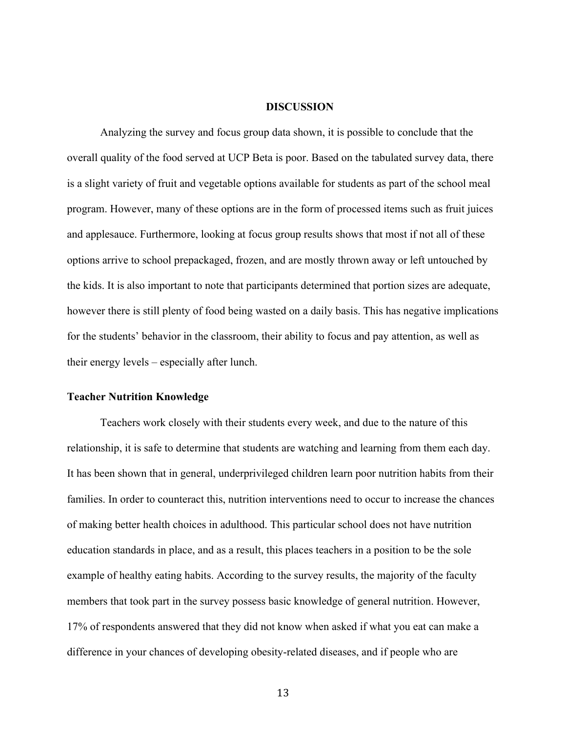#### **DISCUSSION**

Analyzing the survey and focus group data shown, it is possible to conclude that the overall quality of the food served at UCP Beta is poor. Based on the tabulated survey data, there is a slight variety of fruit and vegetable options available for students as part of the school meal program. However, many of these options are in the form of processed items such as fruit juices and applesauce. Furthermore, looking at focus group results shows that most if not all of these options arrive to school prepackaged, frozen, and are mostly thrown away or left untouched by the kids. It is also important to note that participants determined that portion sizes are adequate, however there is still plenty of food being wasted on a daily basis. This has negative implications for the students' behavior in the classroom, their ability to focus and pay attention, as well as their energy levels – especially after lunch.

# **Teacher Nutrition Knowledge**

Teachers work closely with their students every week, and due to the nature of this relationship, it is safe to determine that students are watching and learning from them each day. It has been shown that in general, underprivileged children learn poor nutrition habits from their families. In order to counteract this, nutrition interventions need to occur to increase the chances of making better health choices in adulthood. This particular school does not have nutrition education standards in place, and as a result, this places teachers in a position to be the sole example of healthy eating habits. According to the survey results, the majority of the faculty members that took part in the survey possess basic knowledge of general nutrition. However, 17% of respondents answered that they did not know when asked if what you eat can make a difference in your chances of developing obesity-related diseases, and if people who are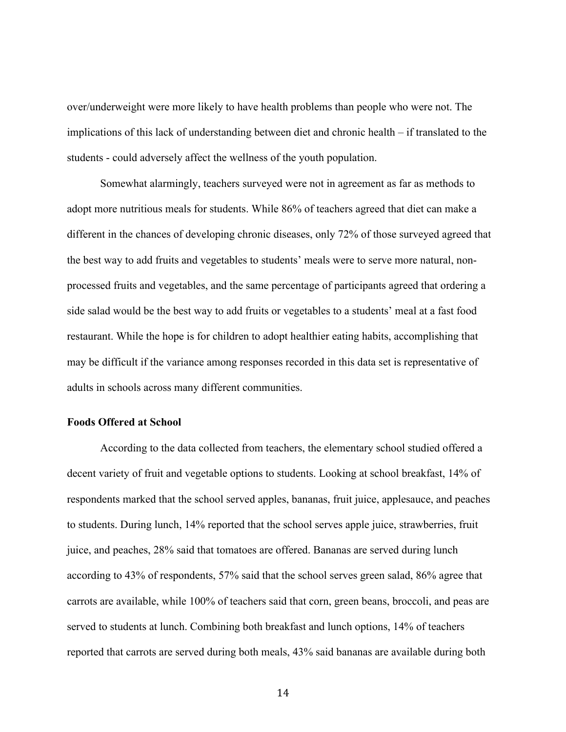over/underweight were more likely to have health problems than people who were not. The implications of this lack of understanding between diet and chronic health – if translated to the students - could adversely affect the wellness of the youth population.

Somewhat alarmingly, teachers surveyed were not in agreement as far as methods to adopt more nutritious meals for students. While 86% of teachers agreed that diet can make a different in the chances of developing chronic diseases, only 72% of those surveyed agreed that the best way to add fruits and vegetables to students' meals were to serve more natural, nonprocessed fruits and vegetables, and the same percentage of participants agreed that ordering a side salad would be the best way to add fruits or vegetables to a students' meal at a fast food restaurant. While the hope is for children to adopt healthier eating habits, accomplishing that may be difficult if the variance among responses recorded in this data set is representative of adults in schools across many different communities.

# **Foods Offered at School**

According to the data collected from teachers, the elementary school studied offered a decent variety of fruit and vegetable options to students. Looking at school breakfast, 14% of respondents marked that the school served apples, bananas, fruit juice, applesauce, and peaches to students. During lunch, 14% reported that the school serves apple juice, strawberries, fruit juice, and peaches, 28% said that tomatoes are offered. Bananas are served during lunch according to 43% of respondents, 57% said that the school serves green salad, 86% agree that carrots are available, while 100% of teachers said that corn, green beans, broccoli, and peas are served to students at lunch. Combining both breakfast and lunch options, 14% of teachers reported that carrots are served during both meals, 43% said bananas are available during both

<sup>14</sup>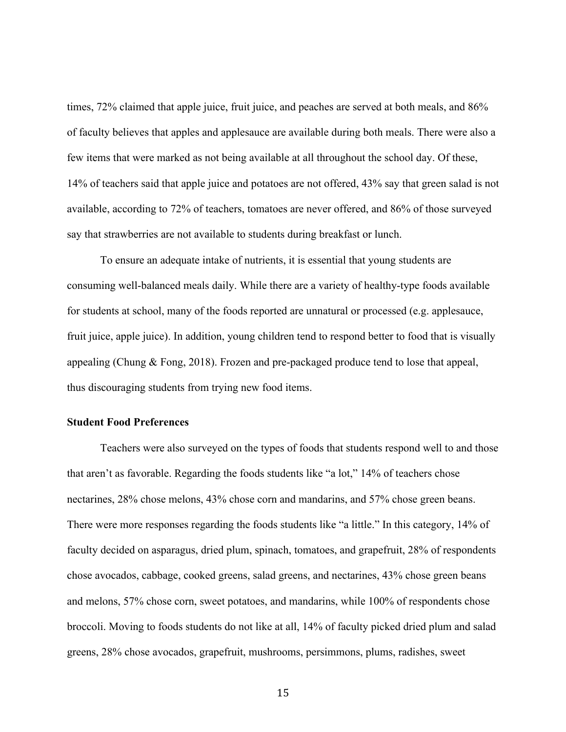times, 72% claimed that apple juice, fruit juice, and peaches are served at both meals, and 86% of faculty believes that apples and applesauce are available during both meals. There were also a few items that were marked as not being available at all throughout the school day. Of these, 14% of teachers said that apple juice and potatoes are not offered, 43% say that green salad is not available, according to 72% of teachers, tomatoes are never offered, and 86% of those surveyed say that strawberries are not available to students during breakfast or lunch.

To ensure an adequate intake of nutrients, it is essential that young students are consuming well-balanced meals daily. While there are a variety of healthy-type foods available for students at school, many of the foods reported are unnatural or processed (e.g. applesauce, fruit juice, apple juice). In addition, young children tend to respond better to food that is visually appealing (Chung & Fong, 2018). Frozen and pre-packaged produce tend to lose that appeal, thus discouraging students from trying new food items.

# **Student Food Preferences**

Teachers were also surveyed on the types of foods that students respond well to and those that aren't as favorable. Regarding the foods students like "a lot," 14% of teachers chose nectarines, 28% chose melons, 43% chose corn and mandarins, and 57% chose green beans. There were more responses regarding the foods students like "a little." In this category, 14% of faculty decided on asparagus, dried plum, spinach, tomatoes, and grapefruit, 28% of respondents chose avocados, cabbage, cooked greens, salad greens, and nectarines, 43% chose green beans and melons, 57% chose corn, sweet potatoes, and mandarins, while 100% of respondents chose broccoli. Moving to foods students do not like at all, 14% of faculty picked dried plum and salad greens, 28% chose avocados, grapefruit, mushrooms, persimmons, plums, radishes, sweet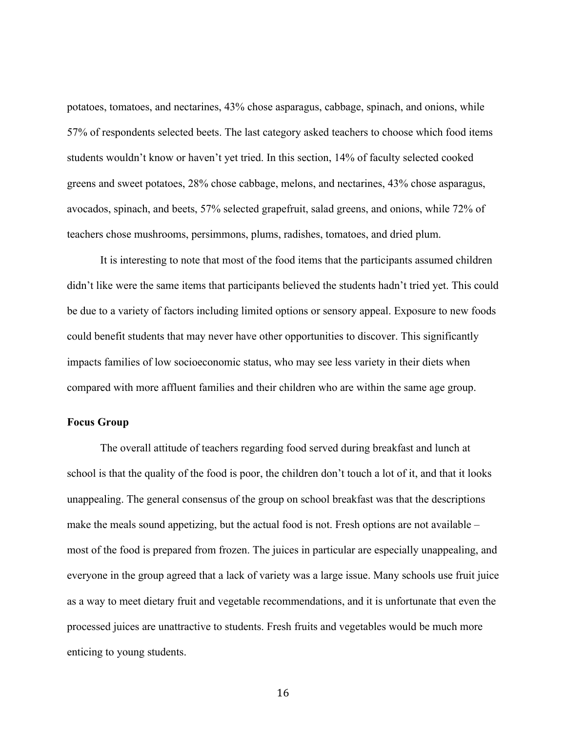potatoes, tomatoes, and nectarines, 43% chose asparagus, cabbage, spinach, and onions, while 57% of respondents selected beets. The last category asked teachers to choose which food items students wouldn't know or haven't yet tried. In this section, 14% of faculty selected cooked greens and sweet potatoes, 28% chose cabbage, melons, and nectarines, 43% chose asparagus, avocados, spinach, and beets, 57% selected grapefruit, salad greens, and onions, while 72% of teachers chose mushrooms, persimmons, plums, radishes, tomatoes, and dried plum.

It is interesting to note that most of the food items that the participants assumed children didn't like were the same items that participants believed the students hadn't tried yet. This could be due to a variety of factors including limited options or sensory appeal. Exposure to new foods could benefit students that may never have other opportunities to discover. This significantly impacts families of low socioeconomic status, who may see less variety in their diets when compared with more affluent families and their children who are within the same age group.

#### **Focus Group**

The overall attitude of teachers regarding food served during breakfast and lunch at school is that the quality of the food is poor, the children don't touch a lot of it, and that it looks unappealing. The general consensus of the group on school breakfast was that the descriptions make the meals sound appetizing, but the actual food is not. Fresh options are not available – most of the food is prepared from frozen. The juices in particular are especially unappealing, and everyone in the group agreed that a lack of variety was a large issue. Many schools use fruit juice as a way to meet dietary fruit and vegetable recommendations, and it is unfortunate that even the processed juices are unattractive to students. Fresh fruits and vegetables would be much more enticing to young students.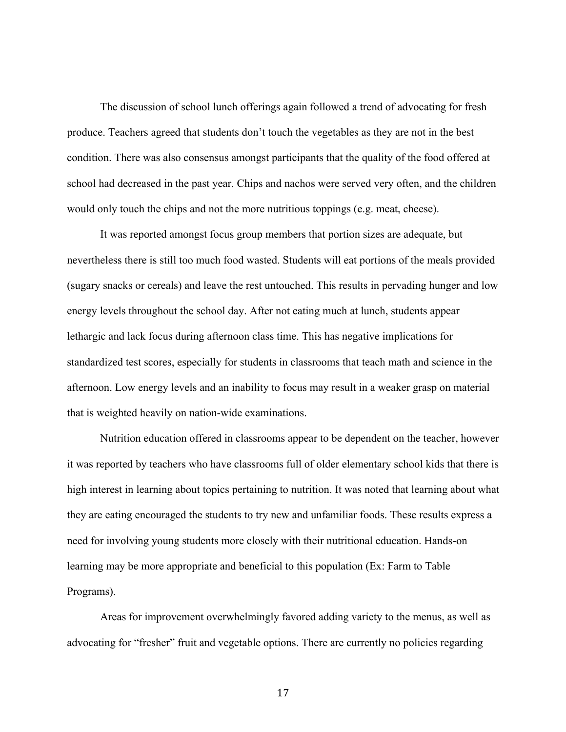The discussion of school lunch offerings again followed a trend of advocating for fresh produce. Teachers agreed that students don't touch the vegetables as they are not in the best condition. There was also consensus amongst participants that the quality of the food offered at school had decreased in the past year. Chips and nachos were served very often, and the children would only touch the chips and not the more nutritious toppings (e.g. meat, cheese).

It was reported amongst focus group members that portion sizes are adequate, but nevertheless there is still too much food wasted. Students will eat portions of the meals provided (sugary snacks or cereals) and leave the rest untouched. This results in pervading hunger and low energy levels throughout the school day. After not eating much at lunch, students appear lethargic and lack focus during afternoon class time. This has negative implications for standardized test scores, especially for students in classrooms that teach math and science in the afternoon. Low energy levels and an inability to focus may result in a weaker grasp on material that is weighted heavily on nation-wide examinations.

Nutrition education offered in classrooms appear to be dependent on the teacher, however it was reported by teachers who have classrooms full of older elementary school kids that there is high interest in learning about topics pertaining to nutrition. It was noted that learning about what they are eating encouraged the students to try new and unfamiliar foods. These results express a need for involving young students more closely with their nutritional education. Hands-on learning may be more appropriate and beneficial to this population (Ex: Farm to Table Programs).

Areas for improvement overwhelmingly favored adding variety to the menus, as well as advocating for "fresher" fruit and vegetable options. There are currently no policies regarding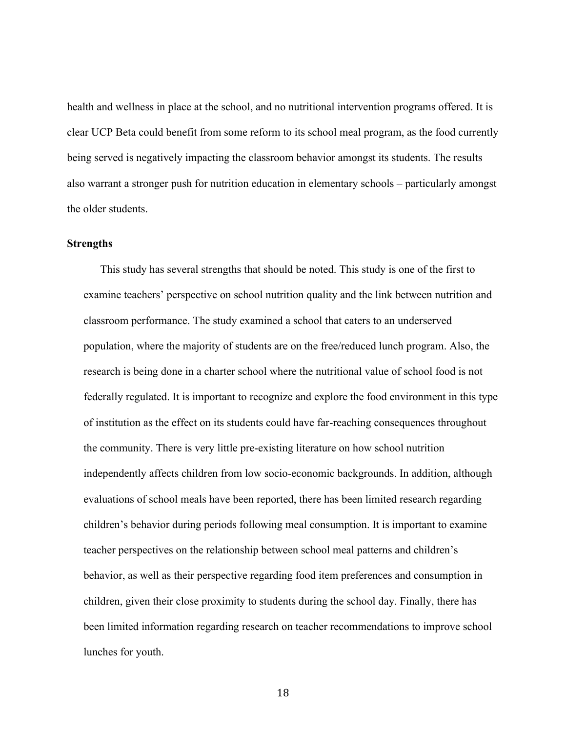health and wellness in place at the school, and no nutritional intervention programs offered. It is clear UCP Beta could benefit from some reform to its school meal program, as the food currently being served is negatively impacting the classroom behavior amongst its students. The results also warrant a stronger push for nutrition education in elementary schools – particularly amongst the older students.

#### **Strengths**

This study has several strengths that should be noted. This study is one of the first to examine teachers' perspective on school nutrition quality and the link between nutrition and classroom performance. The study examined a school that caters to an underserved population, where the majority of students are on the free/reduced lunch program. Also, the research is being done in a charter school where the nutritional value of school food is not federally regulated. It is important to recognize and explore the food environment in this type of institution as the effect on its students could have far-reaching consequences throughout the community. There is very little pre-existing literature on how school nutrition independently affects children from low socio-economic backgrounds. In addition, although evaluations of school meals have been reported, there has been limited research regarding children's behavior during periods following meal consumption. It is important to examine teacher perspectives on the relationship between school meal patterns and children's behavior, as well as their perspective regarding food item preferences and consumption in children, given their close proximity to students during the school day. Finally, there has been limited information regarding research on teacher recommendations to improve school lunches for youth.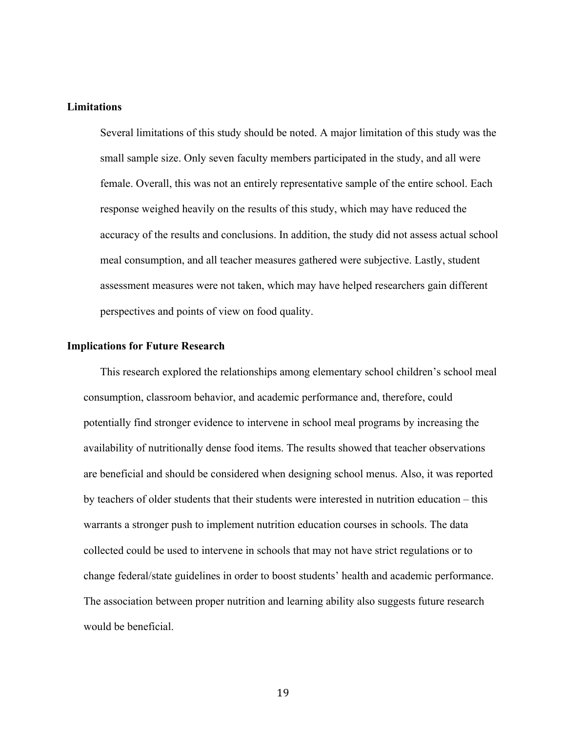### **Limitations**

Several limitations of this study should be noted. A major limitation of this study was the small sample size. Only seven faculty members participated in the study, and all were female. Overall, this was not an entirely representative sample of the entire school. Each response weighed heavily on the results of this study, which may have reduced the accuracy of the results and conclusions. In addition, the study did not assess actual school meal consumption, and all teacher measures gathered were subjective. Lastly, student assessment measures were not taken, which may have helped researchers gain different perspectives and points of view on food quality.

#### **Implications for Future Research**

This research explored the relationships among elementary school children's school meal consumption, classroom behavior, and academic performance and, therefore, could potentially find stronger evidence to intervene in school meal programs by increasing the availability of nutritionally dense food items. The results showed that teacher observations are beneficial and should be considered when designing school menus. Also, it was reported by teachers of older students that their students were interested in nutrition education – this warrants a stronger push to implement nutrition education courses in schools. The data collected could be used to intervene in schools that may not have strict regulations or to change federal/state guidelines in order to boost students' health and academic performance. The association between proper nutrition and learning ability also suggests future research would be beneficial.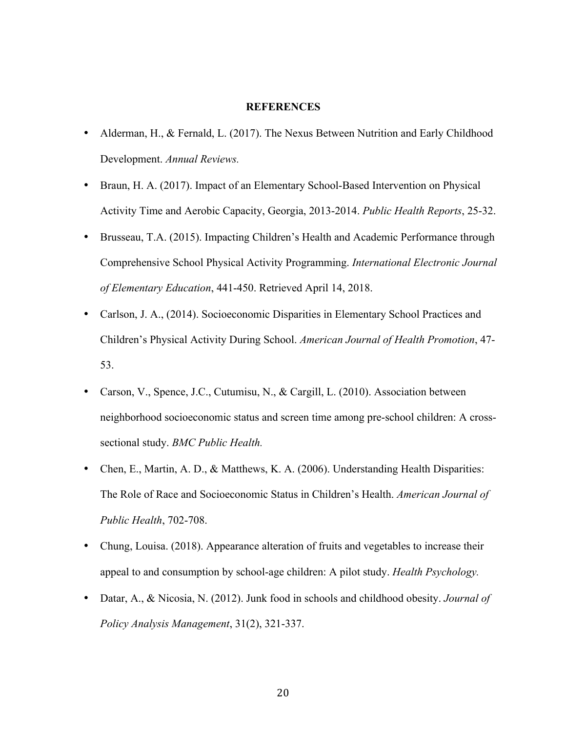#### **REFERENCES**

- Alderman, H., & Fernald, L. (2017). The Nexus Between Nutrition and Early Childhood Development. *Annual Reviews.*
- Braun, H. A. (2017). Impact of an Elementary School-Based Intervention on Physical Activity Time and Aerobic Capacity, Georgia, 2013-2014. *Public Health Reports*, 25-32.
- Brusseau, T.A. (2015). Impacting Children's Health and Academic Performance through Comprehensive School Physical Activity Programming. *International Electronic Journal of Elementary Education*, 441-450. Retrieved April 14, 2018.
- Carlson, J. A., (2014). Socioeconomic Disparities in Elementary School Practices and Children's Physical Activity During School. *American Journal of Health Promotion*, 47- 53.
- Carson, V., Spence, J.C., Cutumisu, N., & Cargill, L. (2010). Association between neighborhood socioeconomic status and screen time among pre-school children: A crosssectional study. *BMC Public Health.*
- Chen, E., Martin, A. D., & Matthews, K. A. (2006). Understanding Health Disparities: The Role of Race and Socioeconomic Status in Children's Health. *American Journal of Public Health*, 702-708.
- Chung, Louisa. (2018). Appearance alteration of fruits and vegetables to increase their appeal to and consumption by school-age children: A pilot study. *Health Psychology.*
- Datar, A., & Nicosia, N. (2012). Junk food in schools and childhood obesity. *Journal of Policy Analysis Management*, 31(2), 321-337.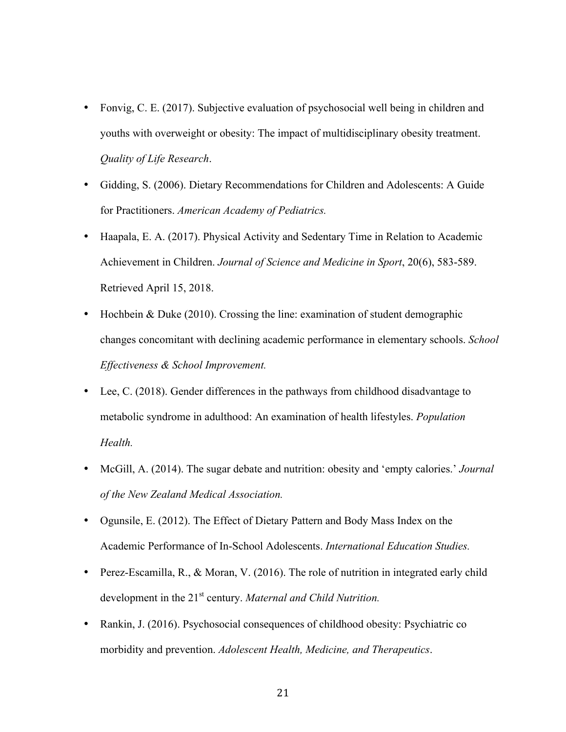- Fonvig, C. E. (2017). Subjective evaluation of psychosocial well being in children and youths with overweight or obesity: The impact of multidisciplinary obesity treatment. *Quality of Life Research*.
- Gidding, S. (2006). Dietary Recommendations for Children and Adolescents: A Guide for Practitioners. *American Academy of Pediatrics.*
- Haapala, E. A. (2017). Physical Activity and Sedentary Time in Relation to Academic Achievement in Children. *Journal of Science and Medicine in Sport*, 20(6), 583-589. Retrieved April 15, 2018.
- Hochbein & Duke (2010). Crossing the line: examination of student demographic changes concomitant with declining academic performance in elementary schools. *School Effectiveness & School Improvement.*
- Lee, C. (2018). Gender differences in the pathways from childhood disadvantage to metabolic syndrome in adulthood: An examination of health lifestyles. *Population Health.*
- McGill, A. (2014). The sugar debate and nutrition: obesity and 'empty calories.' *Journal of the New Zealand Medical Association.*
- Ogunsile, E. (2012). The Effect of Dietary Pattern and Body Mass Index on the Academic Performance of In-School Adolescents. *International Education Studies.*
- Perez-Escamilla, R., & Moran, V. (2016). The role of nutrition in integrated early child development in the 21st century. *Maternal and Child Nutrition.*
- Rankin, J. (2016). Psychosocial consequences of childhood obesity: Psychiatric co morbidity and prevention. *Adolescent Health, Medicine, and Therapeutics*.